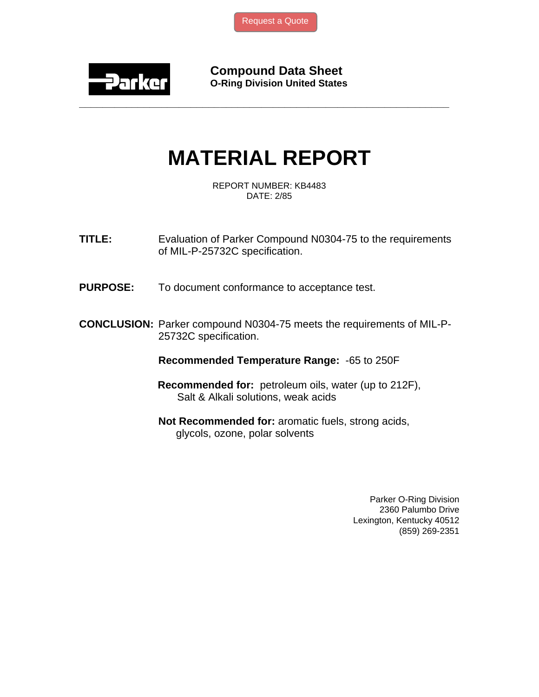[Request a Quote](http://www.marcorubber.com/contact_quote.htm?material=Parker+N0304-75)



**Compound Data Sheet O-Ring Division United States** 

## **MATERIAL REPORT**

**\_\_\_\_\_\_\_\_\_\_\_\_\_\_\_\_\_\_\_\_\_\_\_\_\_\_\_\_\_\_\_\_\_\_\_\_\_\_\_\_\_\_\_\_\_\_\_\_\_\_\_\_\_\_\_\_\_\_\_\_\_\_\_** 

REPORT NUMBER: KB4483 DATE: 2/85

**TITLE:** Evaluation of Parker Compound N0304-75 to the requirements of MIL-P-25732C specification.

**PURPOSE:** To document conformance to acceptance test.

**CONCLUSION:** Parker compound N0304-75 meets the requirements of MIL-P-25732C specification.

**Recommended Temperature Range:** -65 to 250F

- **Recommended for:** petroleum oils, water (up to 212F), Salt & Alkali solutions, weak acids
- **Not Recommended for:** aromatic fuels, strong acids, glycols, ozone, polar solvents

Parker O-Ring Division 2360 Palumbo Drive Lexington, Kentucky 40512 (859) 269-2351